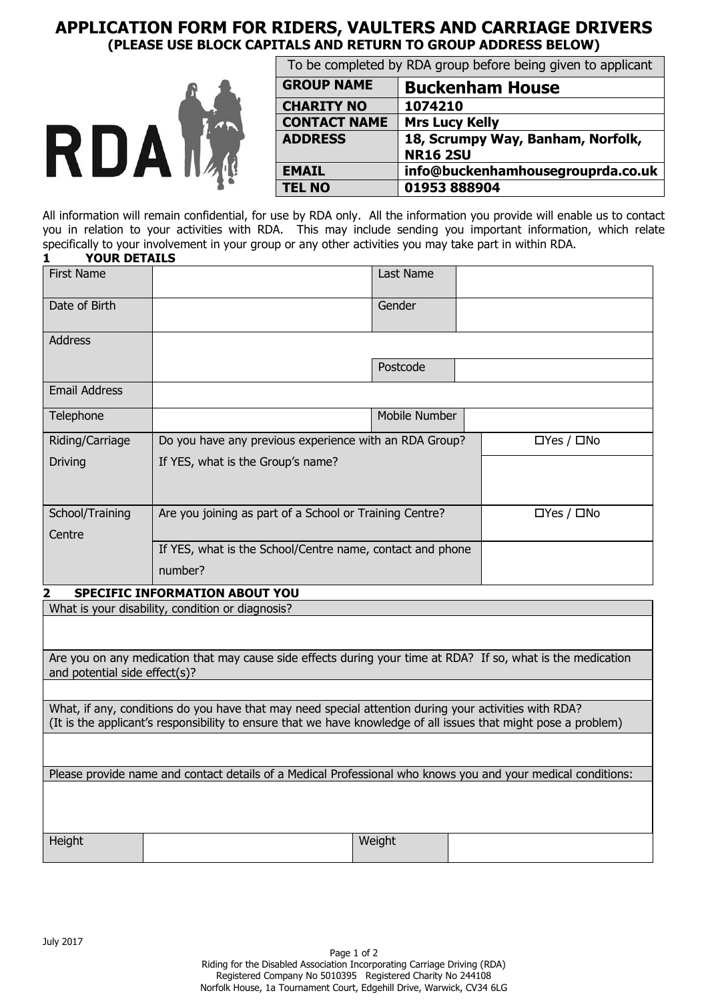# **APPLICATION FORM FOR RIDERS, VAULTERS AND CARRIAGE DRIVERS (PLEASE USE BLOCK CAPITALS AND RETURN TO GROUP ADDRESS BELOW)**



| To be completed by RDA group before being given to applicant |                                                      |  |
|--------------------------------------------------------------|------------------------------------------------------|--|
| <b>GROUP NAME</b><br><b>Buckenham House</b>                  |                                                      |  |
| <b>CHARITY NO</b>                                            | 1074210                                              |  |
| <b>CONTACT NAME</b>                                          | <b>Mrs Lucy Kelly</b>                                |  |
| <b>ADDRESS</b>                                               | 18, Scrumpy Way, Banham, Norfolk,<br><b>NR16 2SU</b> |  |
| <b>EMAIL</b>                                                 | info@buckenhamhousegrouprda.co.uk                    |  |
| <b>TEL NO</b>                                                | 01953888904                                          |  |

All information will remain confidential, for use by RDA only. All the information you provide will enable us to contact you in relation to your activities with RDA. This may include sending you important information, which relate specifically to your involvement in your group or any other activities you may take part in within RDA. **1 YOUR DETAILS**

| <b>First Name</b>    |                                                           | Last Name     |                        |
|----------------------|-----------------------------------------------------------|---------------|------------------------|
| Date of Birth        |                                                           | Gender        |                        |
| Address              |                                                           |               |                        |
|                      |                                                           | Postcode      |                        |
| <b>Email Address</b> |                                                           |               |                        |
| Telephone            |                                                           | Mobile Number |                        |
| Riding/Carriage      | Do you have any previous experience with an RDA Group?    |               | $\Box$ Yes / $\Box$ No |
| <b>Driving</b>       | If YES, what is the Group's name?                         |               |                        |
|                      |                                                           |               |                        |
| School/Training      | Are you joining as part of a School or Training Centre?   |               | $\Box$ Yes / $\Box$ No |
| Centre               |                                                           |               |                        |
|                      | If YES, what is the School/Centre name, contact and phone |               |                        |
|                      | number?                                                   |               |                        |

#### **2 SPECIFIC INFORMATION ABOUT YOU**

What is your disability, condition or diagnosis?

Are you on any medication that may cause side effects during your time at RDA? If so, what is the medication and potential side effect(s)?

What, if any, conditions do you have that may need special attention during your activities with RDA? (It is the applicant's responsibility to ensure that we have knowledge of all issues that might pose a problem)

Please provide name and contact details of a Medical Professional who knows you and your medical conditions:

Height Weight